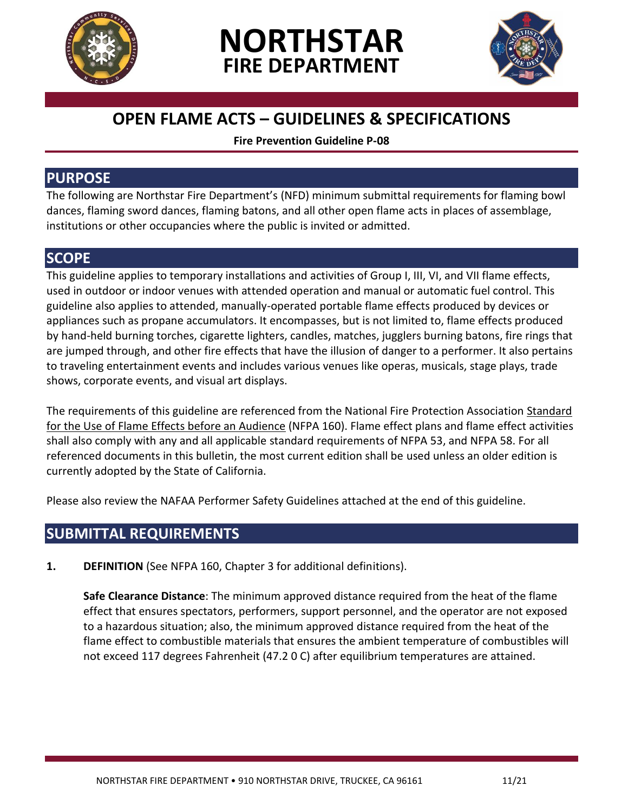





# **OPEN FLAME ACTS – GUIDELINES & SPECIFICATIONS**

**Fire Prevention Guideline P-08**

### **PURPOSE**

The following are Northstar Fire Department's (NFD) minimum submittal requirements for flaming bowl dances, flaming sword dances, flaming batons, and all other open flame acts in places of assemblage, institutions or other occupancies where the public is invited or admitted.

# **SCOPE**

This guideline applies to temporary installations and activities of Group I, III, VI, and VII flame effects, used in outdoor or indoor venues with attended operation and manual or automatic fuel control. This guideline also applies to attended, manually-operated portable flame effects produced by devices or appliances such as propane accumulators. It encompasses, but is not limited to, flame effects produced by hand-held burning torches, cigarette lighters, candles, matches, jugglers burning batons, fire rings that are jumped through, and other fire effects that have the illusion of danger to a performer. It also pertains to traveling entertainment events and includes various venues like operas, musicals, stage plays, trade shows, corporate events, and visual art displays.

The requirements of this guideline are referenced from the National Fire Protection Association Standard for the Use of Flame Effects before an Audience (NFPA 160). Flame effect plans and flame effect activities shall also comply with any and all applicable standard requirements of NFPA 53, and NFPA 58. For all referenced documents in this bulletin, the most current edition shall be used unless an older edition is currently adopted by the State of California.

Please also review the NAFAA Performer Safety Guidelines attached at the end of this guideline.

## **SUBMITTAL REQUIREMENTS**

**1. DEFINITION** (See NFPA 160, Chapter 3 for additional definitions).

**Safe Clearance Distance**: The minimum approved distance required from the heat of the flame effect that ensures spectators, performers, support personnel, and the operator are not exposed to a hazardous situation; also, the minimum approved distance required from the heat of the flame effect to combustible materials that ensures the ambient temperature of combustibles will not exceed 117 degrees Fahrenheit (47.2 0 C) after equilibrium temperatures are attained.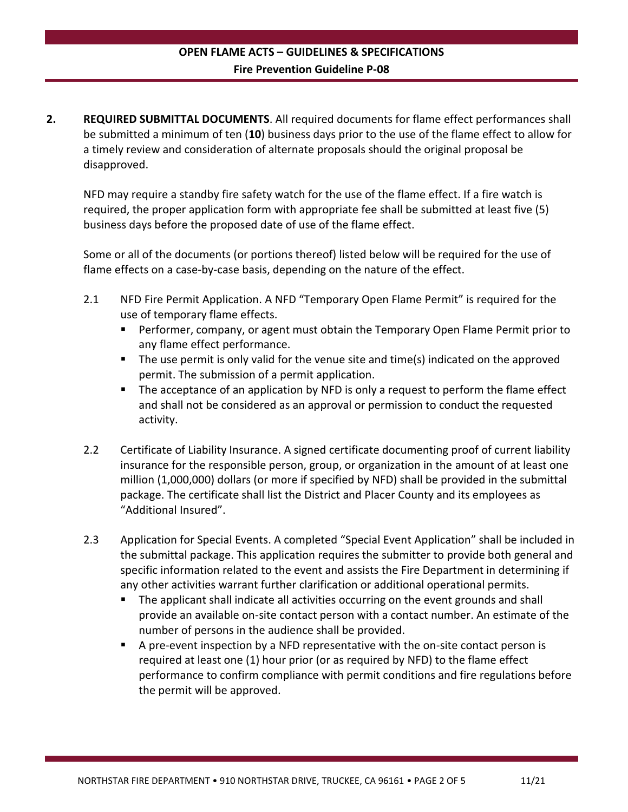**2. REQUIRED SUBMITTAL DOCUMENTS**. All required documents for flame effect performances shall be submitted a minimum of ten (**10**) business days prior to the use of the flame effect to allow for a timely review and consideration of alternate proposals should the original proposal be disapproved.

NFD may require a standby fire safety watch for the use of the flame effect. If a fire watch is required, the proper application form with appropriate fee shall be submitted at least five (5) business days before the proposed date of use of the flame effect.

Some or all of the documents (or portions thereof) listed below will be required for the use of flame effects on a case-by-case basis, depending on the nature of the effect.

- 2.1 NFD Fire Permit Application. A NFD "Temporary Open Flame Permit" is required for the use of temporary flame effects.
	- Performer, company, or agent must obtain the Temporary Open Flame Permit prior to any flame effect performance.
	- The use permit is only valid for the venue site and time(s) indicated on the approved permit. The submission of a permit application.
	- **The acceptance of an application by NFD is only a request to perform the flame effect** and shall not be considered as an approval or permission to conduct the requested activity.
- 2.2 Certificate of Liability Insurance. A signed certificate documenting proof of current liability insurance for the responsible person, group, or organization in the amount of at least one million (1,000,000) dollars (or more if specified by NFD) shall be provided in the submittal package. The certificate shall list the District and Placer County and its employees as "Additional Insured".
- 2.3 Application for Special Events. A completed "Special Event Application" shall be included in the submittal package. This application requires the submitter to provide both general and specific information related to the event and assists the Fire Department in determining if any other activities warrant further clarification or additional operational permits.
	- The applicant shall indicate all activities occurring on the event grounds and shall provide an available on-site contact person with a contact number. An estimate of the number of persons in the audience shall be provided.
	- A pre-event inspection by a NFD representative with the on-site contact person is required at least one (1) hour prior (or as required by NFD) to the flame effect performance to confirm compliance with permit conditions and fire regulations before the permit will be approved.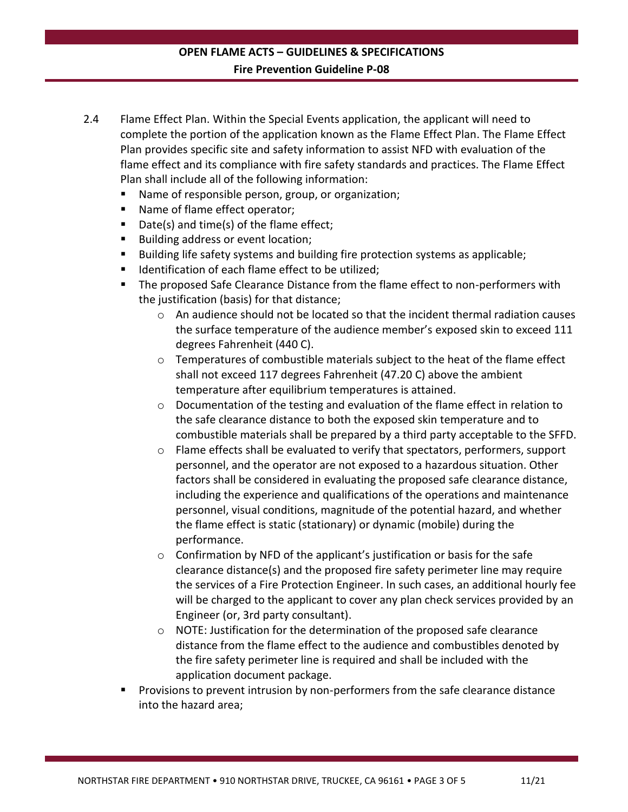- 2.4 Flame Effect Plan. Within the Special Events application, the applicant will need to complete the portion of the application known as the Flame Effect Plan. The Flame Effect Plan provides specific site and safety information to assist NFD with evaluation of the flame effect and its compliance with fire safety standards and practices. The Flame Effect Plan shall include all of the following information:
	- Name of responsible person, group, or organization;
	- Name of flame effect operator;
	- Date(s) and time(s) of the flame effect;
	- Building address or event location;
	- Building life safety systems and building fire protection systems as applicable;
	- Identification of each flame effect to be utilized;
	- The proposed Safe Clearance Distance from the flame effect to non-performers with the justification (basis) for that distance;
		- $\circ$  An audience should not be located so that the incident thermal radiation causes the surface temperature of the audience member's exposed skin to exceed 111 degrees Fahrenheit (440 C).
		- $\circ$  Temperatures of combustible materials subject to the heat of the flame effect shall not exceed 117 degrees Fahrenheit (47.20 C) above the ambient temperature after equilibrium temperatures is attained.
		- $\circ$  Documentation of the testing and evaluation of the flame effect in relation to the safe clearance distance to both the exposed skin temperature and to combustible materials shall be prepared by a third party acceptable to the SFFD.
		- $\circ$  Flame effects shall be evaluated to verify that spectators, performers, support personnel, and the operator are not exposed to a hazardous situation. Other factors shall be considered in evaluating the proposed safe clearance distance, including the experience and qualifications of the operations and maintenance personnel, visual conditions, magnitude of the potential hazard, and whether the flame effect is static (stationary) or dynamic (mobile) during the performance.
		- $\circ$  Confirmation by NFD of the applicant's justification or basis for the safe clearance distance(s) and the proposed fire safety perimeter line may require the services of a Fire Protection Engineer. In such cases, an additional hourly fee will be charged to the applicant to cover any plan check services provided by an Engineer (or, 3rd party consultant).
		- o NOTE: Justification for the determination of the proposed safe clearance distance from the flame effect to the audience and combustibles denoted by the fire safety perimeter line is required and shall be included with the application document package.
	- Provisions to prevent intrusion by non-performers from the safe clearance distance into the hazard area;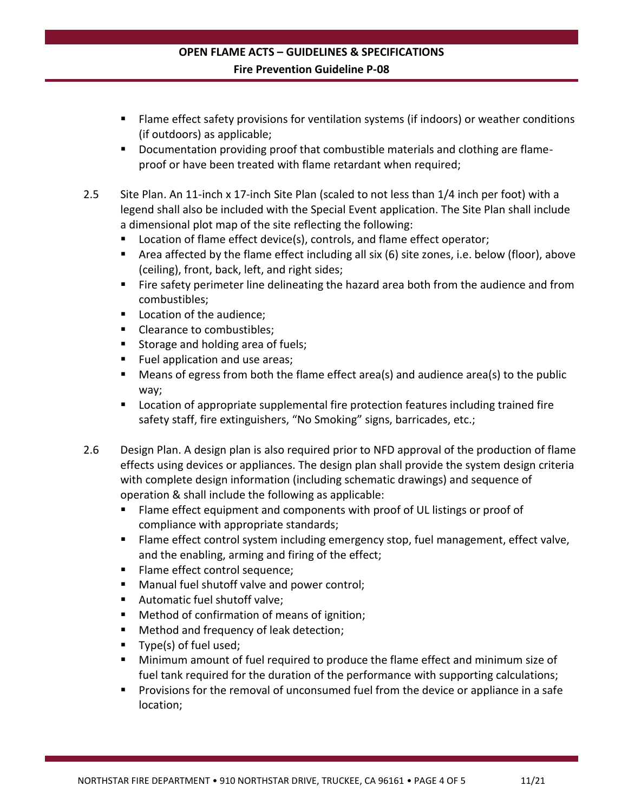- Flame effect safety provisions for ventilation systems (if indoors) or weather conditions (if outdoors) as applicable;
- Documentation providing proof that combustible materials and clothing are flameproof or have been treated with flame retardant when required;
- 2.5 Site Plan. An 11-inch x 17-inch Site Plan (scaled to not less than 1/4 inch per foot) with a legend shall also be included with the Special Event application. The Site Plan shall include a dimensional plot map of the site reflecting the following:
	- Location of flame effect device(s), controls, and flame effect operator;
	- Area affected by the flame effect including all six (6) site zones, i.e. below (floor), above (ceiling), front, back, left, and right sides;
	- **Fire safety perimeter line delineating the hazard area both from the audience and from** combustibles;
	- Location of the audience;
	- Clearance to combustibles;
	- Storage and holding area of fuels;
	- Fuel application and use areas;
	- Means of egress from both the flame effect area(s) and audience area(s) to the public way;
	- **Location of appropriate supplemental fire protection features including trained fire** safety staff, fire extinguishers, "No Smoking" signs, barricades, etc.;
- 2.6 Design Plan. A design plan is also required prior to NFD approval of the production of flame effects using devices or appliances. The design plan shall provide the system design criteria with complete design information (including schematic drawings) and sequence of operation & shall include the following as applicable:
	- Flame effect equipment and components with proof of UL listings or proof of compliance with appropriate standards;
	- Flame effect control system including emergency stop, fuel management, effect valve, and the enabling, arming and firing of the effect;
	- **Flame effect control sequence;**
	- Manual fuel shutoff valve and power control;
	- Automatic fuel shutoff valve;
	- Method of confirmation of means of ignition;
	- Method and frequency of leak detection;
	- Type(s) of fuel used;
	- Minimum amount of fuel required to produce the flame effect and minimum size of fuel tank required for the duration of the performance with supporting calculations;
	- Provisions for the removal of unconsumed fuel from the device or appliance in a safe location;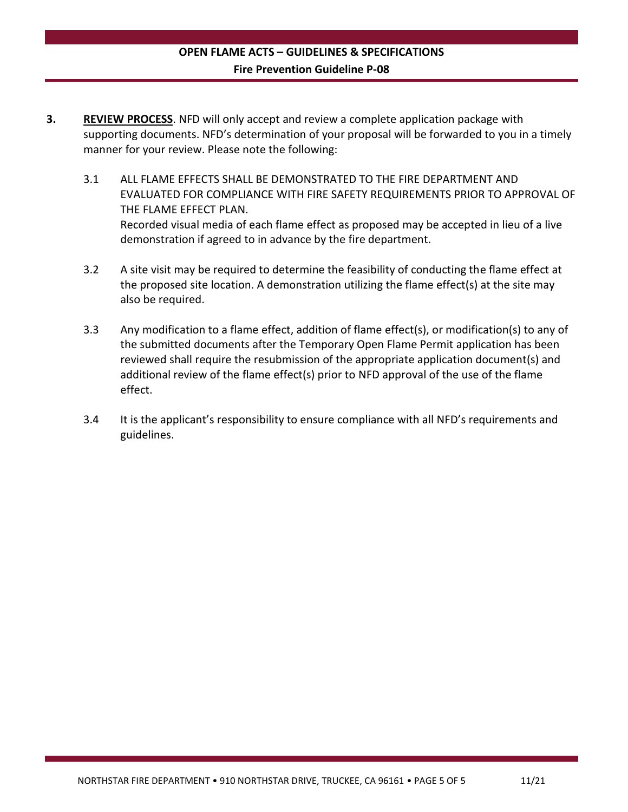- **3. REVIEW PROCESS**. NFD will only accept and review a complete application package with supporting documents. NFD's determination of your proposal will be forwarded to you in a timely manner for your review. Please note the following:
	- 3.1 ALL FLAME EFFECTS SHALL BE DEMONSTRATED TO THE FIRE DEPARTMENT AND EVALUATED FOR COMPLIANCE WITH FIRE SAFETY REQUIREMENTS PRIOR TO APPROVAL OF THE FLAME EFFECT PLAN. Recorded visual media of each flame effect as proposed may be accepted in lieu of a live demonstration if agreed to in advance by the fire department.
	- 3.2 A site visit may be required to determine the feasibility of conducting the flame effect at the proposed site location. A demonstration utilizing the flame effect(s) at the site may also be required.
	- 3.3 Any modification to a flame effect, addition of flame effect(s), or modification(s) to any of the submitted documents after the Temporary Open Flame Permit application has been reviewed shall require the resubmission of the appropriate application document(s) and additional review of the flame effect(s) prior to NFD approval of the use of the flame effect.
	- 3.4 It is the applicant's responsibility to ensure compliance with all NFD's requirements and guidelines.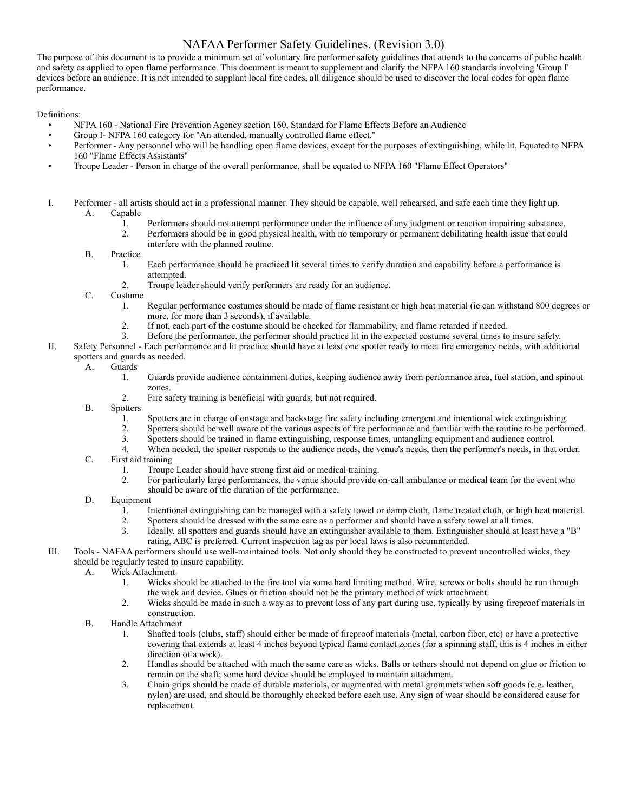#### NAFAA Performer Safety Guidelines. (Revision 3.0)

The purpose of this document is to provide a minimum set of voluntary fire performer safety guidelines that attends to the concerns of public health and safety as applied to open flame performance. This document is meant to supplement and clarify the NFPA 160 standards involving 'Group I' devices before an audience. It is not intended to supplant local fire codes, all diligence should be used to discover the local codes for open flame performance.

Definitions:

- NFPA 160 National Fire Prevention Agency section 160, Standard for Flame Effects Before an Audience
- Group I- NFPA 160 category for "An attended, manually controlled flame effect."
- Performer Any personnel who will be handling open flame devices, except for the purposes of extinguishing, while lit. Equated to NFPA 160 "Flame Effects Assistants"
- Troupe Leader Person in charge of the overall performance, shall be equated to NFPA 160 "Flame Effect Operators"
- I. Performer all artists should act in a professional manner. They should be capable, well rehearsed, and safe each time they light up. A. Capable
	- 1. Performers should not attempt performance under the influence of any judgment or reaction impairing substance.<br>2. Performers should be in good physical health, with no temporary or permanent debilitating health issue th
	- 2. Performers should be in good physical health, with no temporary or permanent debilitating health issue that could interfere with the planned routine.
	- B. Practice
		- 1. Each performance should be practiced lit several times to verify duration and capability before a performance is attempted.
		- 2. Troupe leader should verify performers are ready for an audience.

C. Costume

- 1. Regular performance costumes should be made of flame resistant or high heat material (ie can withstand 800 degrees or more, for more than 3 seconds), if available.
- 2. If not, each part of the costume should be checked for flammability, and flame retarded if needed.<br>3. Before the performance, the performer should practice lit in the expected costume several times to
- 3. Before the performance, the performer should practice lit in the expected costume several times to insure safety.
- II. Safety Personnel Each performance and lit practice should have at least one spotter ready to meet fire emergency needs, with additional spotters and guards as needed.
	- A. Guards
		- 1. Guards provide audience containment duties, keeping audience away from performance area, fuel station, and spinout zones.
		- 2. Fire safety training is beneficial with guards, but not required.
	- B. Spotters
		- 1. Spotters are in charge of onstage and backstage fire safety including emergent and intentional wick extinguishing.<br>2. Spotters should be well aware of the various aspects of fire performance and familiar with the routin
		- 2. Spotters should be well aware of the various aspects of fire performance and familiar with the routine to be performed.
		- 3. Spotters should be trained in flame extinguishing, response times, untangling equipment and audience control.
		- 4. When needed, the spotter responds to the audience needs, the venue's needs, then the performer's needs, in that order.
	- C. First aid training
		- 1. Troupe Leader should have strong first aid or medical training.<br>2. For particularly large performances, the venue should provide
		- 2. For particularly large performances, the venue should provide on-call ambulance or medical team for the event who should be aware of the duration of the performance.
	- D. Equipment
		- 1. Intentional extinguishing can be managed with a safety towel or damp cloth, flame treated cloth, or high heat material.<br>2. Spotters should be dressed with the same care as a performer and should have a safety towel at a
		- 2. Spotters should be dressed with the same care as a performer and should have a safety towel at all times.
		- 3. Ideally, all spotters and guards should have an extinguisher available to them. Extinguisher should at least have a "B" rating, ABC is preferred. Current inspection tag as per local laws is also recommended.
- III. Tools NAFAA performers should use well-maintained tools. Not only should they be constructed to prevent uncontrolled wicks, they should be regularly tested to insure capability.
	- A. Wick Attachment
		- 1. Wicks should be attached to the fire tool via some hard limiting method. Wire, screws or bolts should be run through the wick and device. Glues or friction should not be the primary method of wick attachment.
		- 2. Wicks should be made in such a way as to prevent loss of any part during use, typically by using fireproof materials in construction.
	- B. Handle Attachment
		- 1. Shafted tools (clubs, staff) should either be made of fireproof materials (metal, carbon fiber, etc) or have a protective covering that extends at least 4 inches beyond typical flame contact zones (for a spinning staff, this is 4 inches in either direction of a wick).
		- 2. Handles should be attached with much the same care as wicks. Balls or tethers should not depend on glue or friction to remain on the shaft; some hard device should be employed to maintain attachment.
		- 3. Chain grips should be made of durable materials, or augmented with metal grommets when soft goods (e.g. leather, nylon) are used, and should be thoroughly checked before each use. Any sign of wear should be considered cause for replacement.